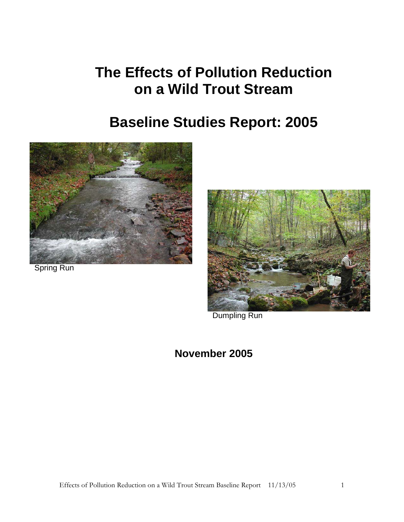# **The Effects of Pollution Reduction on a Wild Trout Stream**

# **Baseline Studies Report: 2005**



Spring Run



Dumpling Run

### **November 2005**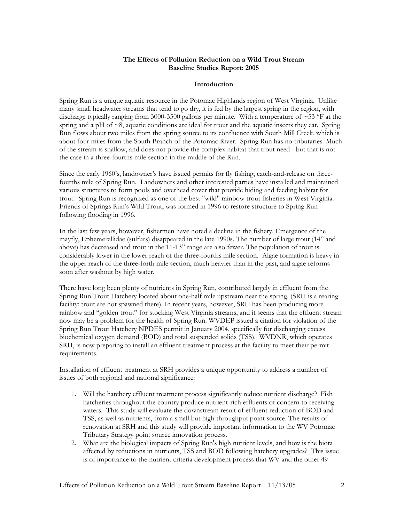#### **The Effects of Pollution Reduction on a Wild Trout Stream Baseline Studies Report: 2005**

#### **Introduction**

Spring Run is a unique aquatic resource in the Potomac Highlands region of West Virginia. Unlike many small headwater streams that tend to go dry, it is fed by the largest spring in the region, with discharge typically ranging from 3000-3500 gallons per minute. With a temperature of  $\sim$  53 °F at the spring and a pH of ~8, aquatic conditions are ideal for trout and the aquatic insects they eat. Spring Run flows about two miles from the spring source to its confluence with South Mill Creek, which is about four miles from the South Branch of the Potomac River. Spring Run has no tributaries. Much of the stream is shallow, and does not provide the complex habitat that trout need - but that is not the case in a three-fourths mile section in the middle of the Run.

Since the early 1960's, landowner's have issued permits for fly fishing, catch-and-release on threefourths mile of Spring Run. Landowners and other interested parties have installed and maintained various structures to form pools and overhead cover that provide hiding and feeding habitat for trout. Spring Run is recognized as one of the best "wild" rainbow trout fisheries in West Virginia. Friends of Springs Run's Wild Trout, was formed in 1996 to restore structure to Spring Run following flooding in 1996.

In the last few years, however, fishermen have noted a decline in the fishery. Emergence of the mayfly, Ephemerellidae (sulfurs) disappeared in the late 1990s. The number of large trout (14" and above) has decreased and trout in the 11-13" range are also fewer. The population of trout is considerably lower in the lower reach of the three-fourths mile section. Algae formation is heavy in the upper reach of the three-forth mile section, much heavier than in the past, and algae reforms soon after washout by high water.

There have long been plenty of nutrients in Spring Run, contributed largely in effluent from the Spring Run Trout Hatchery located about one-half mile upstream near the spring. (SRH is a rearing facility; trout are not spawned there). In recent years, however, SRH has been producing more rainbow and "golden trout" for stocking West Virginia streams, and it seems that the effluent stream now may be a problem for the health of Spring Run. WVDEP issued a citation for violation of the Spring Run Trout Hatchery NPDES permit in January 2004, specifically for discharging excess biochemical oxygen demand (BOD) and total suspended solids (TSS). WVDNR, which operates SRH, is now preparing to install an effluent treatment process at the facility to meet their permit requirements.

Installation of effluent treatment at SRH provides a unique opportunity to address a number of issues of both regional and national significance:

- 1. Will the hatchery effluent treatment process significantly reduce nutrient discharge? Fish hatcheries throughout the country produce nutrient-rich effluents of concern to receiving waters. This study will evaluate the downstream result of effluent reduction of BOD and TSS, as well as nutrients, from a small but high throughput point source. The results of renovation at SRH and this study will provide important information to the WV Potomac Tributary Strategy point source innovation process.
- 2. What are the biological impacts of Spring Run's high nutrient levels, and how is the biota affected by reductions in nutrients, TSS and BOD following hatchery upgrades? This issue is of importance to the nutrient criteria development process that WV and the other 49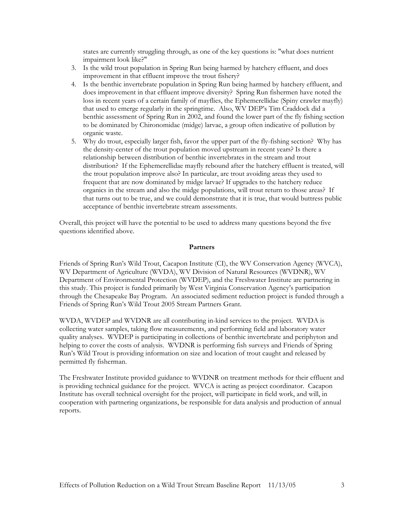states are currently struggling through, as one of the key questions is: "what does nutrient impairment look like?"

- 3. Is the wild trout population in Spring Run being harmed by hatchery effluent, and does improvement in that effluent improve the trout fishery?
- 4. Is the benthic invertebrate population in Spring Run being harmed by hatchery effluent, and does improvement in that effluent improve diversity? Spring Run fishermen have noted the loss in recent years of a certain family of mayflies, the Ephemerellidae (Spiny crawler mayfly) that used to emerge regularly in the springtime. Also, WV DEP's Tim Craddock did a benthic assessment of Spring Run in 2002, and found the lower part of the fly fishing section to be dominated by Chironomidae (midge) larvae, a group often indicative of pollution by organic waste.
- 5. Why do trout, especially larger fish, favor the upper part of the fly-fishing section? Why has the density-center of the trout population moved upstream in recent years? Is there a relationship between distribution of benthic invertebrates in the stream and trout distribution? If the Ephemerellidae mayfly rebound after the hatchery effluent is treated, will the trout population improve also? In particular, are trout avoiding areas they used to frequent that are now dominated by midge larvae? If upgrades to the hatchery reduce organics in the stream and also the midge populations, will trout return to those areas? If that turns out to be true, and we could demonstrate that it is true, that would buttress public acceptance of benthic invertebrate stream assessments.

Overall, this project will have the potential to be used to address many questions beyond the five questions identified above.

#### **Partners**

Friends of Spring Run's Wild Trout, Cacapon Institute (CI), the WV Conservation Agency (WVCA), WV Department of Agriculture (WVDA), WV Division of Natural Resources (WVDNR), WV Department of Environmental Protection (WVDEP), and the Freshwater Institute are partnering in this study. This project is funded primarily by West Virginia Conservation Agency's participation through the Chesapeake Bay Program. An associated sediment reduction project is funded through a Friends of Spring Run's Wild Trout 2005 Stream Partners Grant.

WVDA, WVDEP and WVDNR are all contributing in-kind services to the project. WVDA is collecting water samples, taking flow measurements, and performing field and laboratory water quality analyses. WVDEP is participating in collections of benthic invertebrate and periphyton and helping to cover the costs of analysis. WVDNR is performing fish surveys and Friends of Spring Run's Wild Trout is providing information on size and location of trout caught and released by permitted fly fisherman.

The Freshwater Institute provided guidance to WVDNR on treatment methods for their effluent and is providing technical guidance for the project. WVCA is acting as project coordinator. Cacapon Institute has overall technical oversight for the project, will participate in field work, and will, in cooperation with partnering organizations, be responsible for data analysis and production of annual reports.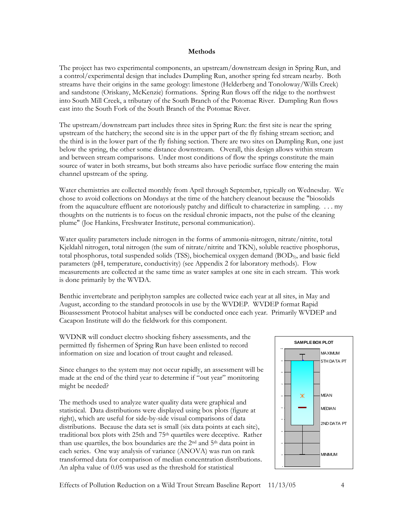#### **Methods**

The project has two experimental components, an upstream/downstream design in Spring Run, and a control/experimental design that includes Dumpling Run, another spring fed stream nearby. Both streams have their origins in the same geology: limestone (Helderberg and Tonoloway/Wills Creek) and sandstone (Oriskany, McKenzie) formations. Spring Run flows off the ridge to the northwest into South Mill Creek, a tributary of the South Branch of the Potomac River. Dumpling Run flows east into the South Fork of the South Branch of the Potomac River.

The upstream/downstream part includes three sites in Spring Run: the first site is near the spring upstream of the hatchery; the second site is in the upper part of the fly fishing stream section; and the third is in the lower part of the fly fishing section. There are two sites on Dumpling Run, one just below the spring, the other some distance downstream. Overall, this design allows within stream and between stream comparisons. Under most conditions of flow the springs constitute the main source of water in both streams, but both streams also have periodic surface flow entering the main channel upstream of the spring.

Water chemistries are collected monthly from April through September, typically on Wednesday. We chose to avoid collections on Mondays at the time of the hatchery cleanout because the "biosolids from the aquaculture effluent are notoriously patchy and difficult to characterize in sampling. . . . my thoughts on the nutrients is to focus on the residual chronic impacts, not the pulse of the cleaning plume" (Joe Hankins, Freshwater Institute, personal communication).

Water quality parameters include nitrogen in the forms of ammonia-nitrogen, nitrate/nitrite, total Kjeldahl nitrogen, total nitrogen (the sum of nitrate/nitrite and TKN), soluble reactive phosphorus, total phosphorus, total suspended solids (TSS), biochemical oxygen demand (BOD5), and basic field parameters (pH, temperature, conductivity) (see Appendix 2 for laboratory methods). Flow measurements are collected at the same time as water samples at one site in each stream. This work is done primarily by the WVDA.

Benthic invertebrate and periphyton samples are collected twice each year at all sites, in May and August, according to the standard protocols in use by the WVDEP. WVDEP format Rapid Bioassessment Protocol habitat analyses will be conducted once each year. Primarily WVDEP and Cacapon Institute will do the fieldwork for this component.

WVDNR will conduct electro shocking fishery assessments, and the permitted fly fishermen of Spring Run have been enlisted to record information on size and location of trout caught and released.

Since changes to the system may not occur rapidly, an assessment will be made at the end of the third year to determine if "out year" monitoring might be needed?

The methods used to analyze water quality data were graphical and statistical. Data distributions were displayed using box plots (figure at right), which are useful for side-by-side visual comparisons of data distributions. Because the data set is small (six data points at each site), traditional box plots with 25th and 75th quartiles were deceptive. Rather than use quartiles, the box boundaries are the 2nd and 5th data point in each series. One way analysis of variance (ANOVA) was run on rank transformed data for comparison of median concentration distributions. An alpha value of 0.05 was used as the threshold for statistical



Effects of Pollution Reduction on a Wild Trout Stream Baseline Report 11/13/05 4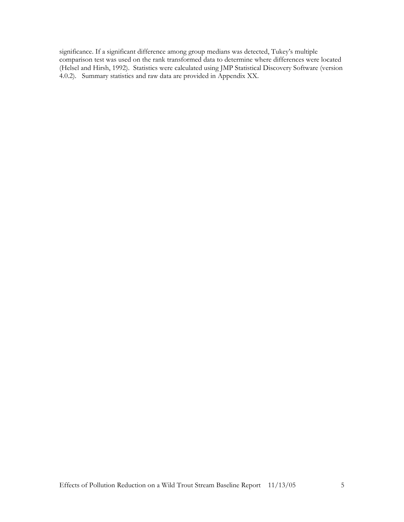significance. If a significant difference among group medians was detected, Tukey's multiple comparison test was used on the rank transformed data to determine where differences were located (Helsel and Hirsh, 1992). Statistics were calculated using JMP Statistical Discovery Software (version 4.0.2). Summary statistics and raw data are provided in Appendix XX.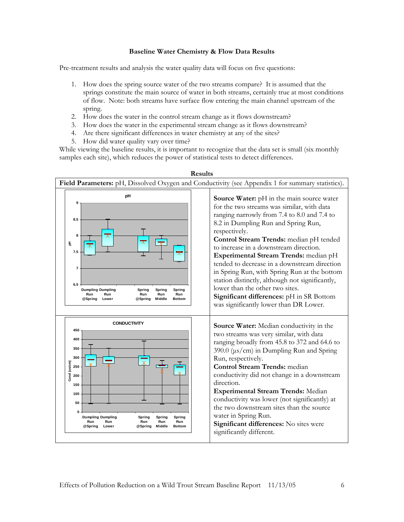#### **Baseline Water Chemistry & Flow Data Results**

Pre-treatment results and analysis the water quality data will focus on five questions:

- 1. How does the spring source water of the two streams compare? It is assumed that the springs constitute the main source of water in both streams, certainly true at most conditions of flow. Note: both streams have surface flow entering the main channel upstream of the spring.
- 2. How does the water in the control stream change as it flows downstream?
- 3. How does the water in the experimental stream change as it flows downstream?
- 4. Are there significant differences in water chemistry at any of the sites?
- 5. How did water quality vary over time?

While viewing the baseline results, it is important to recognize that the data set is small (six monthly samples each site), which reduces the power of statistical tests to detect differences.



**Results**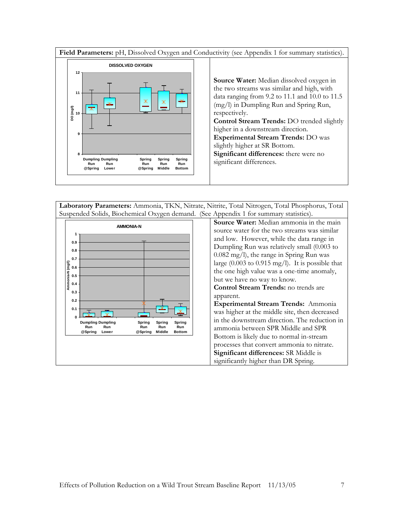**Field Parameters:** pH, Dissolved Oxygen and Conductivity (see Appendix 1 for summary statistics).



**Source Water:** Median dissolved oxygen in the two streams was similar and high, with data ranging from 9.2 to 11.1 and 10.0 to 11.5 (mg/l) in Dumpling Run and Spring Run, respectively. **Control Stream Trends:** DO trended slightly higher in a downstream direction. **Experimental Stream Trends:** DO was slightly higher at SR Bottom. **Significant differences:** there were no significant differences.

**Laboratory Parameters:** Ammonia, TKN, Nitrate, Nitrite, Total Nitrogen, Total Phosphorus, Total Suspended Solids, Biochemical Oxygen demand. (See Appendix 1 for summary statistics).

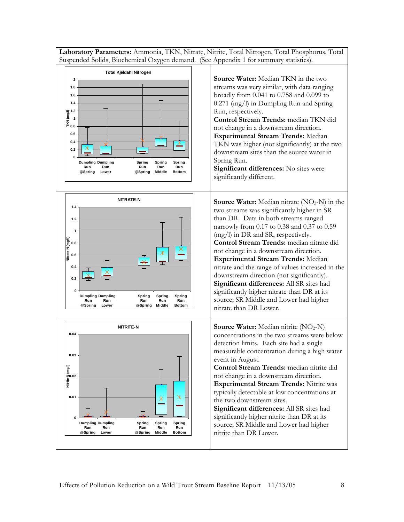**Laboratory Parameters:** Ammonia, TKN, Nitrate, Nitrite, Total Nitrogen, Total Phosphorus, Total Suspended Solids, Biochemical Oxygen demand. (See Appendix 1 for summary statistics).

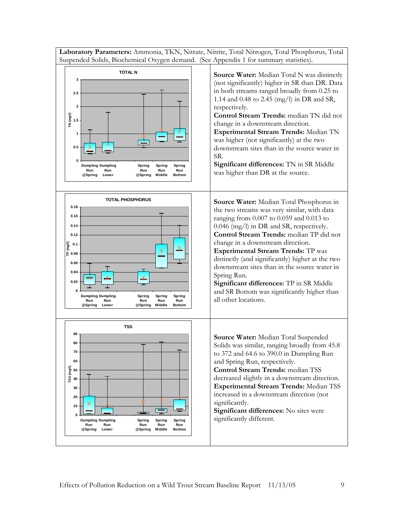**Laboratory Parameters:** Ammonia, TKN, Nitrate, Nitrite, Total Nitrogen, Total Phosphorus, Total Suspended Solids, Biochemical Oxygen demand. (See Appendix 1 for summary statistics).

![](_page_8_Figure_1.jpeg)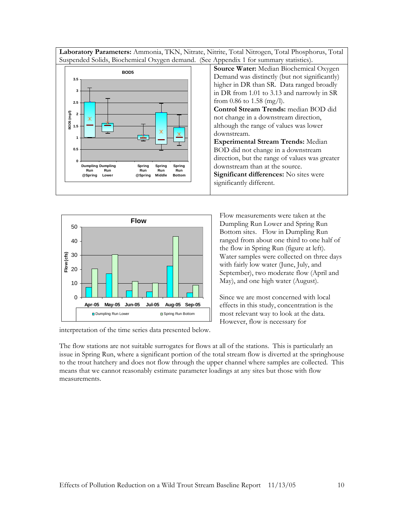**Laboratory Parameters:** Ammonia, TKN, Nitrate, Nitrite, Total Nitrogen, Total Phosphorus, Total Suspended Solids, Biochemical Oxygen demand. (See Appendix 1 for summary statistics).

![](_page_9_Figure_1.jpeg)

![](_page_9_Figure_2.jpeg)

interpretation of the time series data presented below.

Flow measurements were taken at the Dumpling Run Lower and Spring Run Bottom sites. Flow in Dumpling Run ranged from about one third to one half of the flow in Spring Run (figure at left). Water samples were collected on three days with fairly low water (June, July, and September), two moderate flow (April and May), and one high water (August).

Since we are most concerned with local effects in this study, concentration is the most relevant way to look at the data. However, flow is necessary for

The flow stations are not suitable surrogates for flows at all of the stations. This is particularly an issue in Spring Run, where a significant portion of the total stream flow is diverted at the springhouse to the trout hatchery and does not flow through the upper channel where samples are collected. This means that we cannot reasonably estimate parameter loadings at any sites but those with flow measurements.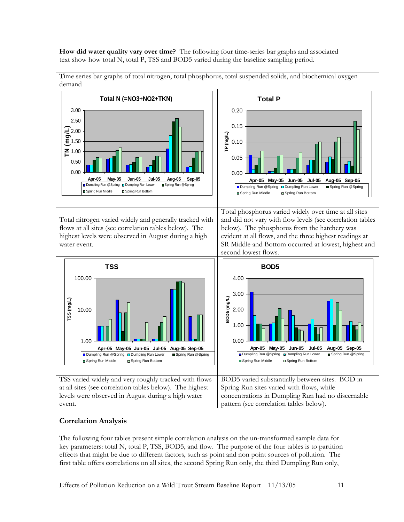**How did water quality vary over time?** The following four time-series bar graphs and associated text show how total N, total P, TSS and BOD5 varied during the baseline sampling period.

![](_page_10_Figure_1.jpeg)

Time series bar graphs of total nitrogen, total phosphorus, total suspended solids, and biochemical oxygen

#### **Correlation Analysis**

The following four tables present simple correlation analysis on the un-transformed sample data for key parameters: total N, total P, TSS, BOD5, and flow. The purpose of the four tables is to partition effects that might be due to different factors, such as point and non point sources of pollution. The first table offers correlations on all sites, the second Spring Run only, the third Dumpling Run only,

Effects of Pollution Reduction on a Wild Trout Stream Baseline Report 11/13/05 11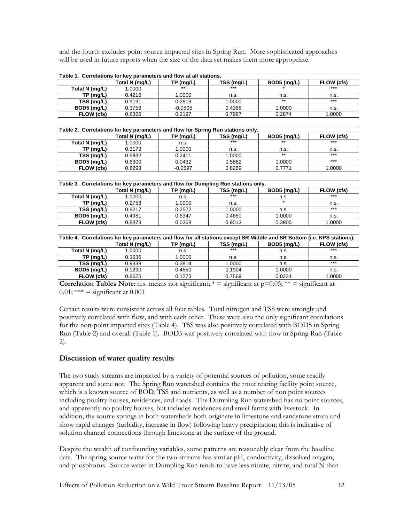and the fourth excludes point source impacted sites in Spring Run. More sophisticated approaches will be used in future reports when the size of the data set makes them more appropriate.

| Table 1. Correlations for key parameters and flow at all stations. |                |             |            |             |            |  |
|--------------------------------------------------------------------|----------------|-------------|------------|-------------|------------|--|
|                                                                    | Total N (mg/L) | $TP$ (mg/L) | TSS (mg/L) | BOD5 (mg/L) | FLOW (cfs) |  |
| Total N (mg/L)                                                     | 1.0000         | $**$        | $***$      |             | $***$      |  |
| TP(mg/L)                                                           | 0.4216         | 1.0000      | n.s.       | n.s.        | n.s.       |  |
| TSS (mg/L)                                                         | 0.9191         | 0.2813      | 1.0000     | $***$       | $***$      |  |
| $BOD5$ (mg/L)                                                      | 0.3759         | $-0.0505$   | 0.4365     | 1.0000      | n.s.       |  |
| FLOW (cfs)                                                         | 0.8365         | 0.2197      | 0.7987     | 0.2874      | 1.0000     |  |

| Table 2. Correlations for key parameters and flow for Spring Run stations only. |                |             |            |             |            |  |
|---------------------------------------------------------------------------------|----------------|-------------|------------|-------------|------------|--|
|                                                                                 | Total N (mg/L) | $TP$ (mg/L) | TSS (mg/L) | BOD5 (mg/L) | FLOW (cfs) |  |
| Total N (mg/L)                                                                  | 1.0000         | n.s.        | $***$      | $***$       | $***$      |  |
| $TP$ (mg/L)                                                                     | 0.3173         | 1.0000      | n.s.       | n.s.        | n.s.       |  |
| TSS (mg/L)                                                                      | 0.9832         | 0.2411      | 1.0000     | $***$       | $***$      |  |
| BOD5 (mg/L)                                                                     | 0.6300         | 0.0432      | 0.5862     | 1.0000      | ***        |  |
| FLOW (cfs)                                                                      | 0.8293         | $-0.0597$   | 0.8269     | 0.7771      | 1.0000     |  |

| Table 3. Correlations for key parameters and flow for Dumpling Run stations only. |                |             |            |             |            |  |
|-----------------------------------------------------------------------------------|----------------|-------------|------------|-------------|------------|--|
|                                                                                   | Total N (mg/L) | $TP$ (mg/L) | TSS (mg/L) | BOD5 (mg/L) | FLOW (cfs) |  |
| Total N (mg/L)                                                                    | 1.0000         | n.s.        | ***        | n.s.        | $***$      |  |
| $TP$ (mg/L)                                                                       | 0.2753         | 1.0000      | n.s.       | $\star$     | n.s.       |  |
| TSS (mg/L)                                                                        | 0.9217         | 0.2572      | 1.0000     | n.s.        | $***$      |  |
| BOD5 (mg/L)                                                                       | 0.4981         | 0.6347      | 0.4650     | 1.0000      | n.s.       |  |
| FLOW (cfs)                                                                        | 0.8873         | 0.0368      | 0.9013     | 0.3905      | 1.0000     |  |

| Table 4. Correlations for key parameters and flow for all stations except SR Middle and SR Bottom (i.e. NPS stations). |                |                                                        |        |        |        |  |  |  |
|------------------------------------------------------------------------------------------------------------------------|----------------|--------------------------------------------------------|--------|--------|--------|--|--|--|
|                                                                                                                        | Total N (mg/L) | FLOW (cfs)<br>TSS (mg/L)<br>BOD5 (mg/L)<br>$TP$ (mg/L) |        |        |        |  |  |  |
| Total N (mg/L)                                                                                                         | 1.0000         | n.s.                                                   | $***$  | n.s.   | $***$  |  |  |  |
| TP(mq/L)                                                                                                               | 0.3636         | 1.0000                                                 | n.s.   | n.s.   | n.s.   |  |  |  |
| TSS (mg/L)                                                                                                             | 0.9338         | 0.3814                                                 | 1.0000 | n.s.   | $***$  |  |  |  |
| BOD5 (mg/L)                                                                                                            | 0.1290         | 0.4550                                                 | 0.1904 | 1.0000 | n.s.   |  |  |  |
| FLOW (cfs)                                                                                                             | 0.8625         | 0.1273                                                 | 0.7669 | 0.0224 | 1.0000 |  |  |  |

**Correlation Tables Note:** n.s. means not significant;  $* =$  significant at  $p=0.05$ ;  $** =$  significant at 0.01; \*\*\* = significant at  $0.001$ 

Certain results were consistent across all four tables. Total nitrogen and TSS were strongly and positively correlated with flow, and with each other. These were also the only significant correlations for the non-point impacted sites (Table 4). TSS was also positively correlated with BOD5 in Spring Run (Table 2) and overall (Table 1). BOD5 was positively correlated with flow in Spring Run (Table 2).

#### **Discussion of water quality results**

The two study streams are impacted by a variety of potential sources of pollution, some readily apparent and some not. The Spring Run watershed contains the trout rearing facility point source, which is a known source of BOD, TSS and nutrients, as well as a number of non point sources including poultry houses, residences, and roads. The Dumpling Run watershed has no point sources, and apparently no poultry houses, but includes residences and small farms with livestock. In addition, the source springs in both watersheds both originate in limestone and sandstone strata and show rapid changes (turbidity, increase in flow) following heavy precipitation; this is indicative of solution channel connections through limestone at the surface of the ground.

Despite the wealth of confounding variables, some patterns are reasonably clear from the baseline data. The spring source water for the two streams has similar pH, conductivity, dissolved oxygen, and phosphorus. Source water in Dumpling Run tends to have less nitrate, nitrite, and total N than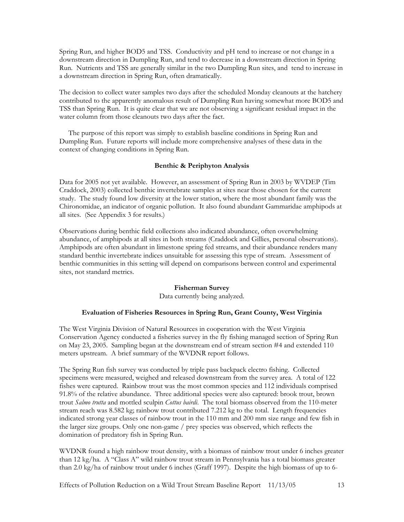Spring Run, and higher BOD5 and TSS. Conductivity and pH tend to increase or not change in a downstream direction in Dumpling Run, and tend to decrease in a downstream direction in Spring Run. Nutrients and TSS are generally similar in the two Dumpling Run sites, and tend to increase in a downstream direction in Spring Run, often dramatically.

The decision to collect water samples two days after the scheduled Monday cleanouts at the hatchery contributed to the apparently anomalous result of Dumpling Run having somewhat more BOD5 and TSS than Spring Run. It is quite clear that we are not observing a significant residual impact in the water column from those cleanouts two days after the fact.

 The purpose of this report was simply to establish baseline conditions in Spring Run and Dumpling Run. Future reports will include more comprehensive analyses of these data in the context of changing conditions in Spring Run.

#### **Benthic & Periphyton Analysis**

Data for 2005 not yet available. However, an assessment of Spring Run in 2003 by WVDEP (Tim Craddock, 2003) collected benthic invertebrate samples at sites near those chosen for the current study. The study found low diversity at the lower station, where the most abundant family was the Chironomidae, an indicator of organic pollution. It also found abundant Gammaridae amphipods at all sites. (See Appendix 3 for results.)

Observations during benthic field collections also indicated abundance, often overwhelming abundance, of amphipods at all sites in both streams (Craddock and Gillies, personal observations). Amphipods are often abundant in limestone spring fed streams, and their abundance renders many standard benthic invertebrate indices unsuitable for assessing this type of stream. Assessment of benthic communities in this setting will depend on comparisons between control and experimental sites, not standard metrics.

#### **Fisherman Survey**

Data currently being analyzed.

#### **Evaluation of Fisheries Resources in Spring Run, Grant County, West Virginia**

The West Virginia Division of Natural Resources in cooperation with the West Virginia Conservation Agency conducted a fisheries survey in the fly fishing managed section of Spring Run on May 23, 2005. Sampling began at the downstream end of stream section #4 and extended 110 meters upstream. A brief summary of the WVDNR report follows.

The Spring Run fish survey was conducted by triple pass backpack electro fishing. Collected specimens were measured, weighed and released downstream from the survey area. A total of 122 fishes were captured. Rainbow trout was the most common species and 112 individuals comprised 91.8% of the relative abundance. Three additional species were also captured: brook trout, brown trout *Salmo trutta* and mottled sculpin *Cottus bairdi*. The total biomass observed from the 110-meter stream reach was 8.582 kg; rainbow trout contributed 7.212 kg to the total. Length frequencies indicated strong year classes of rainbow trout in the 110 mm and 200 mm size range and few fish in the larger size groups. Only one non-game / prey species was observed, which reflects the domination of predatory fish in Spring Run.

WVDNR found a high rainbow trout density, with a biomass of rainbow trout under 6 inches greater than 12 kg/ha. A "Class A" wild rainbow trout stream in Pennsylvania has a total biomass greater than 2.0 kg/ha of rainbow trout under 6 inches (Graff 1997). Despite the high biomass of up to 6-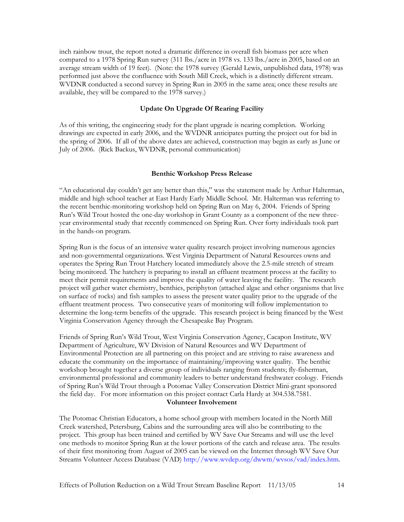inch rainbow trout, the report noted a dramatic difference in overall fish biomass per acre when compared to a 1978 Spring Run survey (311 lbs./acre in 1978 vs. 133 lbs./acre in 2005, based on an average stream width of 19 feet). (Note: the 1978 survey (Gerald Lewis, unpublished data, 1978) was performed just above the confluence with South Mill Creek, which is a distinctly different stream. WVDNR conducted a second survey in Spring Run in 2005 in the same area; once these results are available, they will be compared to the 1978 survey.)

#### **Update On Upgrade Of Rearing Facility**

As of this writing, the engineering study for the plant upgrade is nearing completion. Working drawings are expected in early 2006, and the WVDNR anticipates putting the project out for bid in the spring of 2006. If all of the above dates are achieved, construction may begin as early as June or July of 2006. (Rick Backus, WVDNR, personal communication)

#### **Benthic Workshop Press Release**

"An educational day couldn't get any better than this," was the statement made by Arthur Halterman, middle and high school teacher at East Hardy Early Middle School. Mr. Halterman was referring to the recent benthic-monitoring workshop held on Spring Run on May 6, 2004. Friends of Spring Run's Wild Trout hosted the one-day workshop in Grant County as a component of the new threeyear environmental study that recently commenced on Spring Run. Over forty individuals took part in the hands-on program.

Spring Run is the focus of an intensive water quality research project involving numerous agencies and non-governmental organizations. West Virginia Department of Natural Resources owns and operates the Spring Run Trout Hatchery located immediately above the 2.5-mile stretch of stream being monitored. The hatchery is preparing to install an effluent treatment process at the facility to meet their permit requirements and improve the quality of water leaving the facility. The research project will gather water chemistry, benthics, periphyton (attached algae and other organisms that live on surface of rocks) and fish samples to assess the present water quality prior to the upgrade of the effluent treatment process. Two consecutive years of monitoring will follow implementation to determine the long-term benefits of the upgrade. This research project is being financed by the West Virginia Conservation Agency through the Chesapeake Bay Program.

Friends of Spring Run's Wild Trout, West Virginia Conservation Agency, Cacapon Institute, WV Department of Agriculture, WV Division of Natural Resources and WV Department of Environmental Protection are all partnering on this project and are striving to raise awareness and educate the community on the importance of maintaining/improving water quality. The benthic workshop brought together a diverse group of individuals ranging from students; fly-fisherman, environmental professional and community leaders to better understand freshwater ecology. Friends of Spring Run's Wild Trout through a Potomac Valley Conservation District Mini-grant sponsored the field day. For more information on this project contact Carla Hardy at 304.538.7581. **Volunteer Involvement** 

The Potomac Christian Educators, a home school group with members located in the North Mill Creek watershed, Petersburg, Cabins and the surrounding area will also be contributing to the project. This group has been trained and certified by WV Save Our Streams and will use the level one methods to monitor Spring Run at the lower portions of the catch and release area. The results of their first monitoring from August of 2005 can be viewed on the Internet through WV Save Our Streams Volunteer Access Database (VAD) http://www.wvdep.org/dwwm/wvsos/vad/index.htm.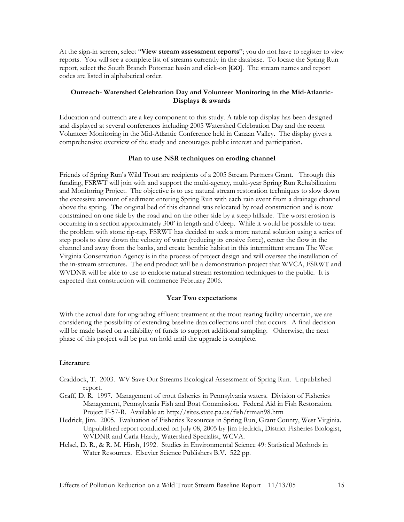At the sign-in screen, select "**View stream assessment reports**"; you do not have to register to view reports. You will see a complete list of streams currently in the database. To locate the Spring Run report, select the South Branch Potomac basin and click-on [**GO**]. The stream names and report codes are listed in alphabetical order.

#### **Outreach- Watershed Celebration Day and Volunteer Monitoring in the Mid-Atlantic-Displays & awards**

Education and outreach are a key component to this study. A table top display has been designed and displayed at several conferences including 2005 Watershed Celebration Day and the recent Volunteer Monitoring in the Mid-Atlantic Conference held in Canaan Valley. The display gives a comprehensive overview of the study and encourages public interest and participation.

#### **Plan to use NSR techniques on eroding channel**

Friends of Spring Run's Wild Trout are recipients of a 2005 Stream Partners Grant. Through this funding, FSRWT will join with and support the multi-agency, multi-year Spring Run Rehabilitation and Monitoring Project. The objective is to use natural stream restoration techniques to slow down the excessive amount of sediment entering Spring Run with each rain event from a drainage channel above the spring. The original bed of this channel was relocated by road construction and is now constrained on one side by the road and on the other side by a steep hillside. The worst erosion is occurring in a section approximately 300' in length and 6'deep. While it would be possible to treat the problem with stone rip-rap, FSRWT has decided to seek a more natural solution using a series of step pools to slow down the velocity of water (reducing its erosive force), center the flow in the channel and away from the banks, and create benthic habitat in this intermittent stream The West Virginia Conservation Agency is in the process of project design and will oversee the installation of the in-stream structures. The end product will be a demonstration project that WVCA, FSRWT and WVDNR will be able to use to endorse natural stream restoration techniques to the public. It is expected that construction will commence February 2006.

#### **Year Two expectations**

With the actual date for upgrading effluent treatment at the trout rearing facility uncertain, we are considering the possibility of extending baseline data collections until that occurs. A final decision will be made based on availability of funds to support additional sampling. Otherwise, the next phase of this project will be put on hold until the upgrade is complete.

#### **Literature**

- Craddock, T. 2003. WV Save Our Streams Ecological Assessment of Spring Run. Unpublished report.
- Graff, D. R. 1997. Management of trout fisheries in Pennsylvania waters. Division of Fisheries Management, Pennsylvania Fish and Boat Commission. Federal Aid in Fish Restoration. Project F-57-R. Available at: http://sites.state.pa.us/fish/trman98.htm
- Hedrick, Jim. 2005. Evaluation of Fisheries Resources in Spring Run, Grant County, West Virginia. Unpublished report conducted on July 08, 2005 by Jim Hedrick, District Fisheries Biologist, WVDNR and Carla Hardy, Watershed Specialist, WCVA.
- Helsel, D. R., & R. M. Hirsh, 1992. Studies in Environmental Science 49: Statistical Methods in Water Resources. Elsevier Science Publishers B.V. 522 pp.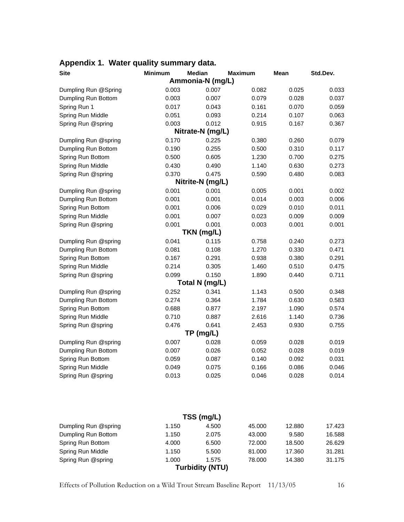| <b>Site</b>          | <b>Minimum</b> | <b>Median</b>    | <b>Maximum</b> | Mean  | Std.Dev. |
|----------------------|----------------|------------------|----------------|-------|----------|
|                      |                | Ammonia-N (mg/L) |                |       |          |
| Dumpling Run @Spring | 0.003          | 0.007            | 0.082          | 0.025 | 0.033    |
| Dumpling Run Bottom  | 0.003          | 0.007            | 0.079          | 0.028 | 0.037    |
| Spring Run 1         | 0.017          | 0.043            | 0.161          | 0.070 | 0.059    |
| Spring Run Middle    | 0.051          | 0.093            | 0.214          | 0.107 | 0.063    |
| Spring Run @spring   | 0.003          | 0.012            | 0.915          | 0.167 | 0.367    |
|                      |                | Nitrate-N (mg/L) |                |       |          |
| Dumpling Run @spring | 0.170          | 0.225            | 0.380          | 0.260 | 0.079    |
| Dumpling Run Bottom  | 0.190          | 0.255            | 0.500          | 0.310 | 0.117    |
| Spring Run Bottom    | 0.500          | 0.605            | 1.230          | 0.700 | 0.275    |
| Spring Run Middle    | 0.430          | 0.490            | 1.140          | 0.630 | 0.273    |
| Spring Run @spring   | 0.370          | 0.475            | 0.590          | 0.480 | 0.083    |
|                      |                | Nitrite-N (mg/L) |                |       |          |
| Dumpling Run @spring | 0.001          | 0.001            | 0.005          | 0.001 | 0.002    |
| Dumpling Run Bottom  | 0.001          | 0.001            | 0.014          | 0.003 | 0.006    |
| Spring Run Bottom    | 0.001          | 0.006            | 0.029          | 0.010 | 0.011    |
| Spring Run Middle    | 0.001          | 0.007            | 0.023          | 0.009 | 0.009    |
| Spring Run @spring   | 0.001          | 0.001            | 0.003          | 0.001 | 0.001    |
|                      |                | TKN (mg/L)       |                |       |          |
| Dumpling Run @spring | 0.041          | 0.115            | 0.758          | 0.240 | 0.273    |
| Dumpling Run Bottom  | 0.081          | 0.108            | 1.270          | 0.330 | 0.471    |
| Spring Run Bottom    | 0.167          | 0.291            | 0.938          | 0.380 | 0.291    |
| Spring Run Middle    | 0.214          | 0.305            | 1.460          | 0.510 | 0.475    |
| Spring Run @spring   | 0.099          | 0.150            | 1.890          | 0.440 | 0.711    |
|                      |                | Total N (mg/L)   |                |       |          |
| Dumpling Run @spring | 0.252          | 0.341            | 1.143          | 0.500 | 0.348    |
| Dumpling Run Bottom  | 0.274          | 0.364            | 1.784          | 0.630 | 0.583    |
| Spring Run Bottom    | 0.688          | 0.877            | 2.197          | 1.090 | 0.574    |
| Spring Run Middle    | 0.710          | 0.887            | 2.616          | 1.140 | 0.736    |
| Spring Run @spring   | 0.476          | 0.641            | 2.453          | 0.930 | 0.755    |
|                      |                | TP (mg/L)        |                |       |          |
| Dumpling Run @spring | 0.007          | 0.028            | 0.059          | 0.028 | 0.019    |
| Dumpling Run Bottom  | 0.007          | 0.026            | 0.052          | 0.028 | 0.019    |
| Spring Run Bottom    | 0.059          | 0.087            | 0.140          | 0.092 | 0.031    |
| Spring Run Middle    | 0.049          | 0.075            | 0.166          | 0.086 | 0.046    |
| Spring Run @spring   | 0.013          | 0.025            | 0.046          | 0.028 | 0.014    |

### **Appendix 1. Water quality summary data.**

|                      |       | TSS (mg/L)             |        |        |        |
|----------------------|-------|------------------------|--------|--------|--------|
| Dumpling Run @spring | 1.150 | 4.500                  | 45,000 | 12,880 | 17.423 |
| Dumpling Run Bottom  | 1.150 | 2.075                  | 43,000 | 9.580  | 16.588 |
| Spring Run Bottom    | 4.000 | 6.500                  | 72,000 | 18.500 | 26.629 |
| Spring Run Middle    | 1.150 | 5.500                  | 81.000 | 17.360 | 31.281 |
| Spring Run @spring   | 1.000 | 1.575                  | 78.000 | 14.380 | 31.175 |
|                      |       | <b>Turbidity (NTU)</b> |        |        |        |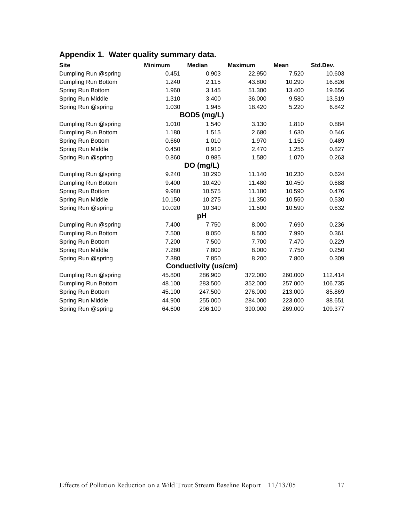| Appendix 1. Water quality summary data. |  |  |  |  |  |
|-----------------------------------------|--|--|--|--|--|
|-----------------------------------------|--|--|--|--|--|

| <b>Site</b>          | <b>Minimum</b> | <b>Median</b>               | <b>Maximum</b> | <b>Mean</b> | Std.Dev. |
|----------------------|----------------|-----------------------------|----------------|-------------|----------|
| Dumpling Run @spring | 0.451          | 0.903                       | 22.950         | 7.520       | 10.603   |
| Dumpling Run Bottom  | 1.240          | 2.115                       | 43.800         | 10.290      | 16.826   |
| Spring Run Bottom    | 1.960          | 3.145                       | 51.300         | 13.400      | 19.656   |
| Spring Run Middle    | 1.310          | 3.400                       | 36,000         | 9.580       | 13.519   |
| Spring Run @spring   | 1.030          | 1.945                       | 18.420         | 5.220       | 6.842    |
|                      |                | BOD5 (mg/L)                 |                |             |          |
| Dumpling Run @spring | 1.010          | 1.540                       | 3.130          | 1.810       | 0.884    |
| Dumpling Run Bottom  | 1.180          | 1.515                       | 2.680          | 1.630       | 0.546    |
| Spring Run Bottom    | 0.660          | 1.010                       | 1.970          | 1.150       | 0.489    |
| Spring Run Middle    | 0.450          | 0.910                       | 2.470          | 1.255       | 0.827    |
| Spring Run @spring   | 0.860          | 0.985                       | 1.580          | 1.070       | 0.263    |
|                      |                | DO (mg/L)                   |                |             |          |
| Dumpling Run @spring | 9.240          | 10.290                      | 11.140         | 10.230      | 0.624    |
| Dumpling Run Bottom  | 9.400          | 10.420                      | 11.480         | 10.450      | 0.688    |
| Spring Run Bottom    | 9.980          | 10.575                      | 11.180         | 10.590      | 0.476    |
| Spring Run Middle    | 10.150         | 10.275                      | 11.350         | 10.550      | 0.530    |
| Spring Run @spring   | 10.020         | 10.340                      | 11.500         | 10.590      | 0.632    |
|                      |                | рH                          |                |             |          |
| Dumpling Run @spring | 7.400          | 7.750                       | 8.000          | 7.690       | 0.236    |
| Dumpling Run Bottom  | 7.500          | 8.050                       | 8.500          | 7.990       | 0.361    |
| Spring Run Bottom    | 7.200          | 7.500                       | 7.700          | 7.470       | 0.229    |
| Spring Run Middle    | 7.280          | 7.800                       | 8.000          | 7.750       | 0.250    |
| Spring Run @spring   | 7.380          | 7.850                       | 8.200          | 7.800       | 0.309    |
|                      |                | <b>Conductivity (us/cm)</b> |                |             |          |
| Dumpling Run @spring | 45.800         | 286.900                     | 372.000        | 260.000     | 112.414  |
| Dumpling Run Bottom  | 48.100         | 283.500                     | 352.000        | 257.000     | 106.735  |
| Spring Run Bottom    | 45.100         | 247.500                     | 276.000        | 213.000     | 85.869   |
| Spring Run Middle    | 44.900         | 255.000                     | 284.000        | 223.000     | 88.651   |
| Spring Run @spring   | 64.600         | 296.100                     | 390.000        | 269.000     | 109.377  |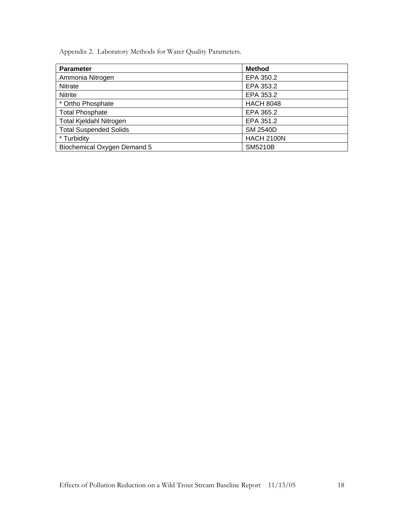Appendix 2. Laboratory Methods for Water Quality Parameters.

| <b>Parameter</b>               | <b>Method</b>     |
|--------------------------------|-------------------|
| Ammonia Nitrogen               | EPA 350.2         |
| <b>Nitrate</b>                 | EPA 353.2         |
| <b>Nitrite</b>                 | EPA 353.2         |
| * Ortho Phosphate              | <b>HACH 8048</b>  |
| <b>Total Phosphate</b>         | EPA 365.2         |
| <b>Total Kjeldahl Nitrogen</b> | EPA 351.2         |
| <b>Total Suspended Solids</b>  | <b>SM 2540D</b>   |
| * Turbidity                    | <b>HACH 2100N</b> |
| Biochemical Oxygen Demand 5    | <b>SM5210B</b>    |